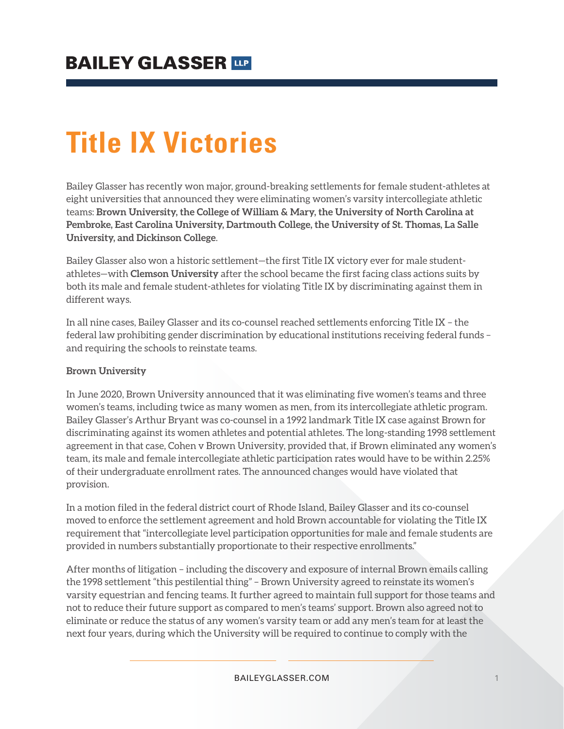# **Title IX Victories**

Bailey Glasser has recently won major, ground-breaking settlements for female student-athletes at eight universities that announced they were eliminating women's varsity intercollegiate athletic teams: **Brown University, the College of William & Mary, the University of North Carolina at Pembroke, East Carolina University, Dartmouth College, the University of St. Thomas, La Salle University, and Dickinson College**.

Bailey Glasser also won a historic settlement—the first Title IX victory ever for male studentathletes—with **Clemson University** after the school became the first facing class actions suits by both its male and female student-athletes for violating Title IX by discriminating against them in different ways.

In all nine cases, Bailey Glasser and its co-counsel reached settlements enforcing Title IX – the federal law prohibiting gender discrimination by educational institutions receiving federal funds – and requiring the schools to reinstate teams.

#### **Brown University**

In June 2020, Brown University announced that it was eliminating five women's teams and three women's teams, including twice as many women as men, from its intercollegiate athletic program. Bailey Glasser's Arthur Bryant was co-counsel in a 1992 landmark Title IX case against Brown for discriminating against its women athletes and potential athletes. The long-standing 1998 settlement agreement in that case, Cohen v Brown University, provided that, if Brown eliminated any women's team, its male and female intercollegiate athletic participation rates would have to be within 2.25% of their undergraduate enrollment rates. The announced changes would have violated that provision.

In a motion filed in the federal district court of Rhode Island, Bailey Glasser and its co-counsel moved to enforce the settlement agreement and hold Brown accountable for violating the Title IX requirement that "intercollegiate level participation opportunities for male and female students are provided in numbers substantially proportionate to their respective enrollments."

After months of litigation – including the discovery and exposure of internal Brown emails calling the 1998 settlement "this pestilential thing" – Brown University agreed to reinstate its women's varsity equestrian and fencing teams. It further agreed to maintain full support for those teams and not to reduce their future support as compared to men's teams' support. Brown also agreed not to eliminate or reduce the status of any women's varsity team or add any men's team for at least the next four years, during which the University will be required to continue to comply with the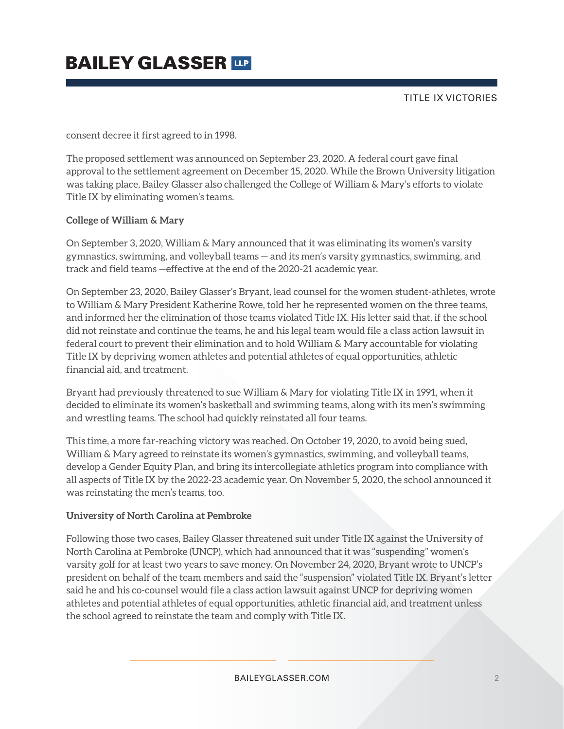TITLE IX VICTORIES

consent decree it first agreed to in 1998.

The proposed settlement was announced on September 23, 2020. A federal court gave final approval to the settlement agreement on December 15, 2020. While the Brown University litigation was taking place, Bailey Glasser also challenged the College of William & Mary's efforts to violate Title IX by eliminating women's teams.

#### **College of William & Mary**

On September 3, 2020, William & Mary announced that it was eliminating its women's varsity gymnastics, swimming, and volleyball teams — and its men's varsity gymnastics, swimming, and track and field teams —effective at the end of the 2020-21 academic year.

On September 23, 2020, Bailey Glasser's Bryant, lead counsel for the women student-athletes, wrote to William & Mary President Katherine Rowe, told her he represented women on the three teams, and informed her the elimination of those teams violated Title IX. His letter said that, if the school did not reinstate and continue the teams, he and his legal team would file a class action lawsuit in federal court to prevent their elimination and to hold William & Mary accountable for violating Title IX by depriving women athletes and potential athletes of equal opportunities, athletic financial aid, and treatment.

Bryant had previously threatened to sue William & Mary for violating Title IX in 1991, when it decided to eliminate its women's basketball and swimming teams, along with its men's swimming and wrestling teams. The school had quickly reinstated all four teams.

This time, a more far-reaching victory was reached. On October 19, 2020, to avoid being sued, William & Mary agreed to reinstate its women's gymnastics, swimming, and volleyball teams, develop a Gender Equity Plan, and bring its intercollegiate athletics program into compliance with all aspects of Title IX by the 2022-23 academic year. On November 5, 2020, the school announced it was reinstating the men's teams, too.

#### **University of North Carolina at Pembroke**

Following those two cases, Bailey Glasser threatened suit under Title IX against the University of North Carolina at Pembroke (UNCP), which had announced that it was "suspending" women's varsity golf for at least two years to save money. On November 24, 2020, Bryant wrote to UNCP's president on behalf of the team members and said the "suspension" violated Title IX. Bryant's letter said he and his co-counsel would file a class action lawsuit against UNCP for depriving women athletes and potential athletes of equal opportunities, athletic financial aid, and treatment unless the school agreed to reinstate the team and comply with Title IX.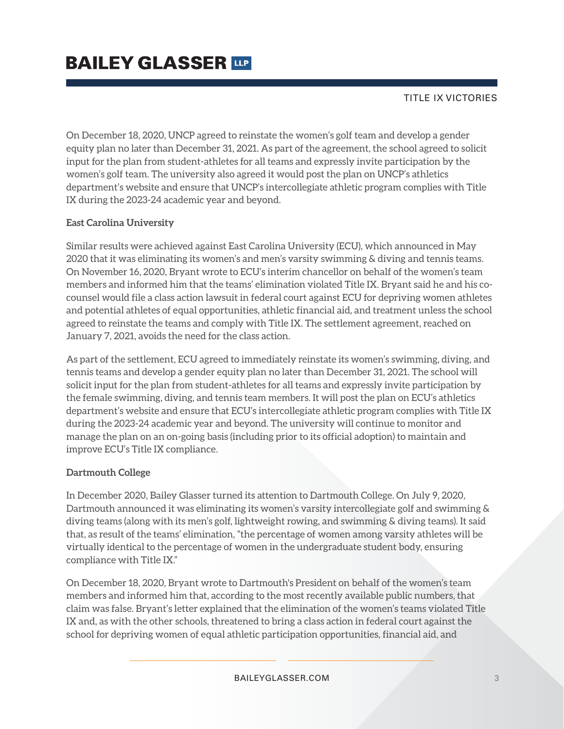TITLE IX VICTORIES

On December 18, 2020, UNCP agreed to reinstate the women's golf team and develop a gender equity plan no later than December 31, 2021. As part of the agreement, the school agreed to solicit input for the plan from student-athletes for all teams and expressly invite participation by the women's golf team. The university also agreed it would post the plan on UNCP's athletics department's website and ensure that UNCP's intercollegiate athletic program complies with Title IX during the 2023-24 academic year and beyond.

### **East Carolina University**

Similar results were achieved against East Carolina University (ECU), which announced in May 2020 that it was eliminating its women's and men's varsity swimming & diving and tennis teams. On November 16, 2020, Bryant wrote to ECU's interim chancellor on behalf of the women's team members and informed him that the teams' elimination violated Title IX. Bryant said he and his cocounsel would file a class action lawsuit in federal court against ECU for depriving women athletes and potential athletes of equal opportunities, athletic financial aid, and treatment unless the school agreed to reinstate the teams and comply with Title IX. The settlement agreement, reached on January 7, 2021, avoids the need for the class action.

As part of the settlement, ECU agreed to immediately reinstate its women's swimming, diving, and tennis teams and develop a gender equity plan no later than December 31, 2021. The school will solicit input for the plan from student-athletes for all teams and expressly invite participation by the female swimming, diving, and tennis team members. It will post the plan on ECU's athletics department's website and ensure that ECU's intercollegiate athletic program complies with Title IX during the 2023-24 academic year and beyond. The university will continue to monitor and manage the plan on an on-going basis (including prior to its official adoption) to maintain and improve ECU's Title IX compliance.

#### **Dartmouth College**

In December 2020, Bailey Glasser turned its attention to Dartmouth College. On July 9, 2020, Dartmouth announced it was eliminating its women's varsity intercollegiate golf and swimming & diving teams (along with its men's golf, lightweight rowing, and swimming & diving teams). It said that, as result of the teams' elimination, "the percentage of women among varsity athletes will be virtually identical to the percentage of women in the undergraduate student body, ensuring compliance with Title IX."

On December 18, 2020, Bryant wrote to Dartmouth's President on behalf of the women's team members and informed him that, according to the most recently available public numbers, that claim was false. Bryant's letter explained that the elimination of the women's teams violated Title IX and, as with the other schools, threatened to bring a class action in federal court against the school for depriving women of equal athletic participation opportunities, financial aid, and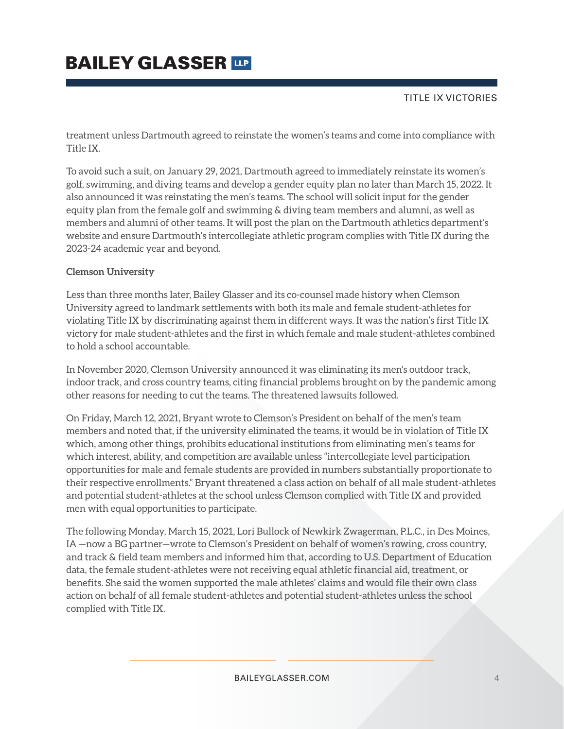### TITLE IX VICTORIES

treatment unless Dartmouth agreed to reinstate the women's teams and come into compliance with Title IX.

To avoid such a suit, on January 29, 2021, Dartmouth agreed to immediately reinstate its women's golf, swimming, and diving teams and develop a gender equity plan no later than March 15, 2022. It also announced it was reinstating the men's teams. The school will solicit input for the gender equity plan from the female golf and swimming & diving team members and alumni, as well as members and alumni of other teams. It will post the plan on the Dartmouth athletics department's website and ensure Dartmouth's intercollegiate athletic program complies with Title IX during the 2023-24 academic year and beyond.

#### **Clemson University**

Less than three months later, Bailey Glasser and its co-counsel made history when Clemson University agreed to landmark settlements with both its male and female student-athletes for violating Title IX by discriminating against them in different ways. It was the nation's first Title IX victory for male student-athletes and the first in which female and male student-athletes combined to hold a school accountable.

In November 2020, Clemson University announced it was eliminating its men's outdoor track, indoor track, and cross country teams, citing financial problems brought on by the pandemic among other reasons for needing to cut the teams. The threatened lawsuits followed.

On Friday, March 12, 2021, Bryant wrote to Clemson's President on behalf of the men's team members and noted that, if the university eliminated the teams, it would be in violation of Title IX which, among other things, prohibits educational institutions from eliminating men's teams for which interest, ability, and competition are available unless "intercollegiate level participation opportunities for male and female students are provided in numbers substantially proportionate to their respective enrollments." Bryant threatened a class action on behalf of all male student-athletes and potential student-athletes at the school unless Clemson complied with Title IX and provided men with equal opportunities to participate.

The following Monday, March 15, 2021, Lori Bullock of Newkirk Zwagerman, P.L.C., in Des Moines, IA —now a BG partner—wrote to Clemson's President on behalf of women's rowing, cross country, and track & field team members and informed him that, according to U.S. Department of Education data, the female student-athletes were not receiving equal athletic financial aid, treatment, or benefits. She said the women supported the male athletes' claims and would file their own class action on behalf of all female student-athletes and potential student-athletes unless the school complied with Title IX.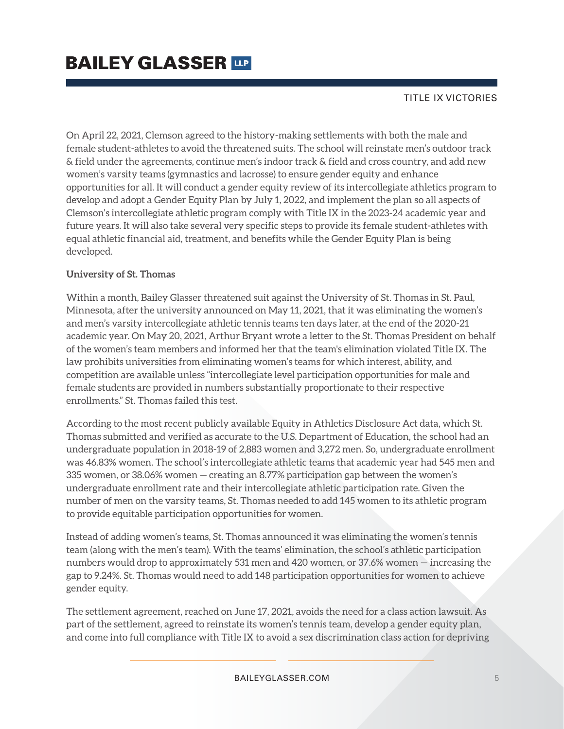### TITLE IX VICTORIES

On April 22, 2021, Clemson agreed to the history-making settlements with both the male and female student-athletes to avoid the threatened suits. The school will reinstate men's outdoor track & field under the agreements, continue men's indoor track & field and cross country, and add new women's varsity teams (gymnastics and lacrosse) to ensure gender equity and enhance opportunities for all. It will conduct a gender equity review of its intercollegiate athletics program to develop and adopt a Gender Equity Plan by July 1, 2022, and implement the plan so all aspects of Clemson's intercollegiate athletic program comply with Title IX in the 2023-24 academic year and future years. It will also take several very specific steps to provide its female student-athletes with equal athletic financial aid, treatment, and benefits while the Gender Equity Plan is being developed.

#### **University of St. Thomas**

Within a month, Bailey Glasser threatened suit against the University of St. Thomas in St. Paul, Minnesota, after the university announced on May 11, 2021, that it was eliminating the women's and men's varsity intercollegiate athletic tennis teams ten days later, at the end of the 2020-21 academic year. On May 20, 2021, Arthur Bryant wrote a letter to the St. Thomas President on behalf of the women's team members and informed her that the team's elimination violated Title IX. The law prohibits universities from eliminating women's teams for which interest, ability, and competition are available unless "intercollegiate level participation opportunities for male and female students are provided in numbers substantially proportionate to their respective enrollments." St. Thomas failed this test.

According to the most recent publicly available Equity in Athletics Disclosure Act data, which St. Thomas submitted and verified as accurate to the U.S. Department of Education, the school had an undergraduate population in 2018-19 of 2,883 women and 3,272 men. So, undergraduate enrollment was 46.83% women. The school's intercollegiate athletic teams that academic year had 545 men and 335 women, or 38.06% women — creating an 8.77% participation gap between the women's undergraduate enrollment rate and their intercollegiate athletic participation rate. Given the number of men on the varsity teams, St. Thomas needed to add 145 women to its athletic program to provide equitable participation opportunities for women.

Instead of adding women's teams, St. Thomas announced it was eliminating the women's tennis team (along with the men's team). With the teams' elimination, the school's athletic participation numbers would drop to approximately 531 men and 420 women, or 37.6% women — increasing the gap to 9.24%. St. Thomas would need to add 148 participation opportunities for women to achieve gender equity.

The settlement agreement, reached on June 17, 2021, avoids the need for a class action lawsuit. As part of the settlement, agreed to reinstate its women's tennis team, develop a gender equity plan, and come into full compliance with Title IX to avoid a sex discrimination class action for depriving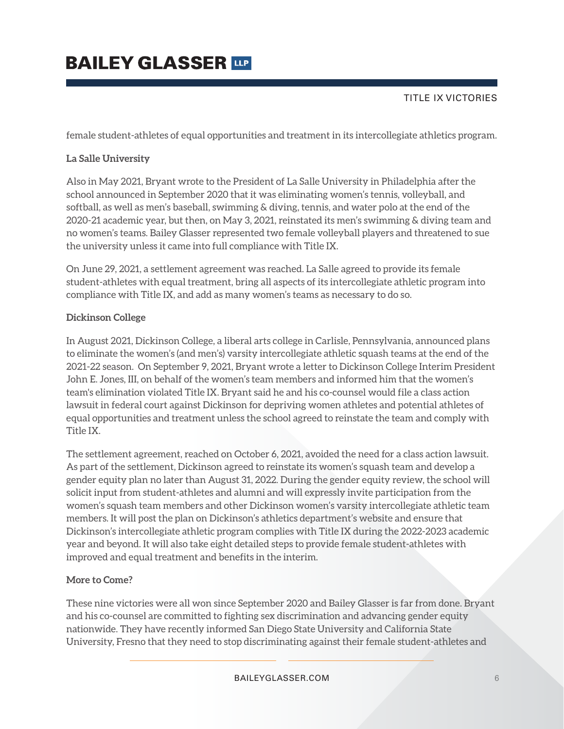### TITLE IX VICTORIES

female student-athletes of equal opportunities and treatment in its intercollegiate athletics program.

### **La Salle University**

Also in May 2021, Bryant wrote to the President of La Salle University in Philadelphia after the school announced in September 2020 that it was eliminating women's tennis, volleyball, and softball, as well as men's baseball, swimming & diving, tennis, and water polo at the end of the 2020-21 academic year, but then, on May 3, 2021, reinstated its men's swimming & diving team and no women's teams. Bailey Glasser represented two female volleyball players and threatened to sue the university unless it came into full compliance with Title IX.

On June 29, 2021, a settlement agreement was reached. La Salle agreed to provide its female student-athletes with equal treatment, bring all aspects of its intercollegiate athletic program into compliance with Title IX, and add as many women's teams as necessary to do so.

### **Dickinson College**

In August 2021, Dickinson College, a liberal arts college in Carlisle, Pennsylvania, announced plans to eliminate the women's (and men's) varsity intercollegiate athletic squash teams at the end of the 2021-22 season. On September 9, 2021, Bryant wrote a letter to Dickinson College Interim President John E. Jones, III, on behalf of the women's team members and informed him that the women's team's elimination violated Title IX. Bryant said he and his co-counsel would file a class action lawsuit in federal court against Dickinson for depriving women athletes and potential athletes of equal opportunities and treatment unless the school agreed to reinstate the team and comply with Title IX.

The settlement agreement, reached on October 6, 2021, avoided the need for a class action lawsuit. As part of the settlement, Dickinson agreed to reinstate its women's squash team and develop a gender equity plan no later than August 31, 2022. During the gender equity review, the school will solicit input from student-athletes and alumni and will expressly invite participation from the women's squash team members and other Dickinson women's varsity intercollegiate athletic team members. It will post the plan on Dickinson's athletics department's website and ensure that Dickinson's intercollegiate athletic program complies with Title IX during the 2022-2023 academic year and beyond. It will also take eight detailed steps to provide female student-athletes with improved and equal treatment and benefits in the interim.

### **More to Come?**

These nine victories were all won since September 2020 and Bailey Glasser is far from done. Bryant and his co-counsel are committed to fighting sex discrimination and advancing gender equity nationwide. They have recently informed San Diego State University and California State University, Fresno that they need to stop discriminating against their female student-athletes and